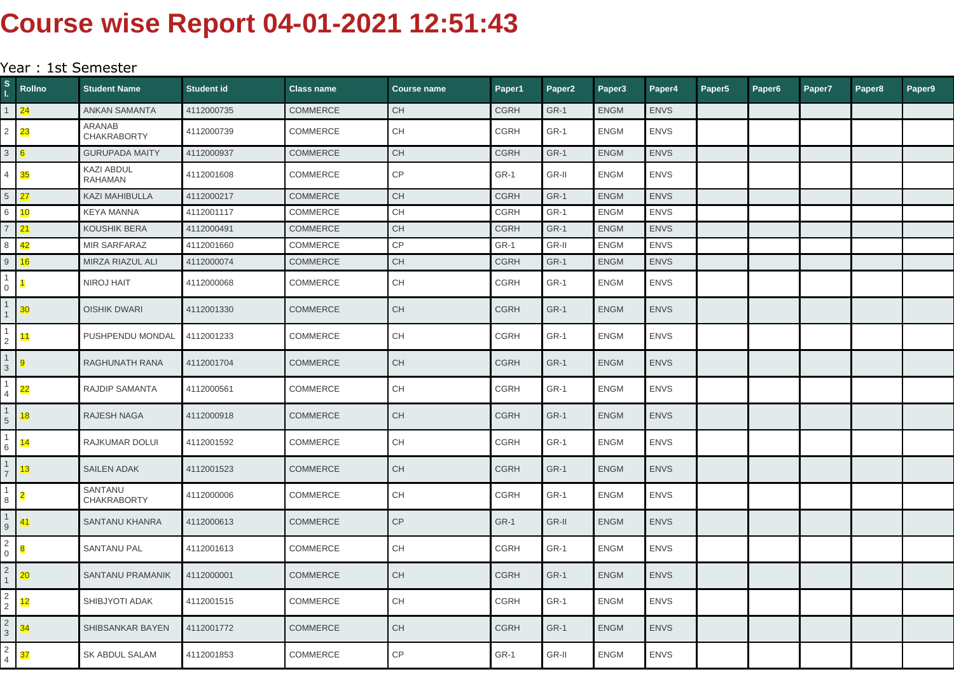## **Course wise Report 04-01-2021 12:51:43**

## Year : 1st Semester

| S.                | Rollno          | <b>Student Name</b>                 | Student id | <b>Class name</b> | <b>Course name</b>                       | Paper1      | Paper <sub>2</sub> | Paper <sub>3</sub> | Paper4      | Paper <sub>5</sub> | Paper6 | Paper7 | Paper8 | Paper9 |
|-------------------|-----------------|-------------------------------------|------------|-------------------|------------------------------------------|-------------|--------------------|--------------------|-------------|--------------------|--------|--------|--------|--------|
|                   | 24              | <b>ANKAN SAMANTA</b>                | 4112000735 | <b>COMMERCE</b>   | <b>CH</b>                                | <b>CGRH</b> | <b>GR-1</b>        | <b>ENGM</b>        | <b>ENVS</b> |                    |        |        |        |        |
| $\mathbf{2}$      | 23              | ARANAB<br><b>CHAKRABORTY</b>        | 4112000739 | <b>COMMERCE</b>   | CH                                       | <b>CGRH</b> | GR-1               | <b>ENGM</b>        | <b>ENVS</b> |                    |        |        |        |        |
| 3                 | 6               | <b>GURUPADA MAITY</b>               | 4112000937 | <b>COMMERCE</b>   | <b>CH</b>                                | <b>CGRH</b> | GR-1               | <b>ENGM</b>        | <b>ENVS</b> |                    |        |        |        |        |
| 4                 | 35              | <b>KAZI ABDUL</b><br><b>RAHAMAN</b> | 4112001608 | <b>COMMERCE</b>   | CP                                       | $GR-1$      | GR-II              | <b>ENGM</b>        | <b>ENVS</b> |                    |        |        |        |        |
| $5\overline{)}$   | 27              | <b>KAZI MAHIBULLA</b>               | 4112000217 | <b>COMMERCE</b>   | <b>CH</b>                                | <b>CGRH</b> | GR-1               | <b>ENGM</b>        | <b>ENVS</b> |                    |        |        |        |        |
| 6                 | 10              | <b>KEYA MANNA</b>                   | 4112001117 | COMMERCE          | <b>CH</b>                                | <b>CGRH</b> | GR-1               | <b>ENGM</b>        | <b>ENVS</b> |                    |        |        |        |        |
| $\overline{7}$    | 21              | <b>KOUSHIK BERA</b>                 | 4112000491 | <b>COMMERCE</b>   | $\mathsf{CH}% \left( \mathcal{M}\right)$ | <b>CGRH</b> | GR-1               | <b>ENGM</b>        | <b>ENVS</b> |                    |        |        |        |        |
| 8                 | 42              | <b>MIR SARFARAZ</b>                 | 4112001660 | COMMERCE          | $\mathsf{CP}$                            | GR-1        | GR-II              | <b>ENGM</b>        | <b>ENVS</b> |                    |        |        |        |        |
| 9                 | 16              | MIRZA RIAZUL ALI                    | 4112000074 | <b>COMMERCE</b>   | <b>CH</b>                                | <b>CGRH</b> | <b>GR-1</b>        | <b>ENGM</b>        | <b>ENVS</b> |                    |        |        |        |        |
| 0                 |                 | <b>NIROJ HAIT</b>                   | 4112000068 | <b>COMMERCE</b>   | CH                                       | <b>CGRH</b> | <b>GR-1</b>        | <b>ENGM</b>        | <b>ENVS</b> |                    |        |        |        |        |
|                   | 30              | <b>OISHIK DWARI</b>                 | 4112001330 | <b>COMMERCE</b>   | <b>CH</b>                                | <b>CGRH</b> | GR-1               | <b>ENGM</b>        | <b>ENVS</b> |                    |        |        |        |        |
|                   | 11              | PUSHPENDU MONDAL                    | 4112001233 | <b>COMMERCE</b>   | <b>CH</b>                                | <b>CGRH</b> | GR-1               | <b>ENGM</b>        | <b>ENVS</b> |                    |        |        |        |        |
| 3                 |                 | RAGHUNATH RANA                      | 4112001704 | <b>COMMERCE</b>   | <b>CH</b>                                | <b>CGRH</b> | <b>GR-1</b>        | <b>ENGM</b>        | <b>ENVS</b> |                    |        |        |        |        |
|                   | $\overline{22}$ | <b>RAJDIP SAMANTA</b>               | 4112000561 | COMMERCE          | CH                                       | <b>CGRH</b> | GR-1               | <b>ENGM</b>        | <b>ENVS</b> |                    |        |        |        |        |
| 5                 | 18              | <b>RAJESH NAGA</b>                  | 4112000918 | <b>COMMERCE</b>   | <b>CH</b>                                | <b>CGRH</b> | <b>GR-1</b>        | <b>ENGM</b>        | <b>ENVS</b> |                    |        |        |        |        |
| 6                 | 14              | RAJKUMAR DOLUI                      | 4112001592 | <b>COMMERCE</b>   | <b>CH</b>                                | <b>CGRH</b> | GR-1               | <b>ENGM</b>        | <b>ENVS</b> |                    |        |        |        |        |
|                   | 13              | <b>SAILEN ADAK</b>                  | 4112001523 | <b>COMMERCE</b>   | CH                                       | <b>CGRH</b> | <b>GR-1</b>        | <b>ENGM</b>        | <b>ENVS</b> |                    |        |        |        |        |
| 8                 |                 | SANTANU<br><b>CHAKRABORTY</b>       | 4112000006 | <b>COMMERCE</b>   | <b>CH</b>                                | CGRH        | GR-1               | <b>ENGM</b>        | <b>ENVS</b> |                    |        |        |        |        |
| 9                 | 41.             | SANTANU KHANRA                      | 4112000613 | <b>COMMERCE</b>   | CP                                       | <b>GR-1</b> | GR-II              | <b>ENGM</b>        | <b>ENVS</b> |                    |        |        |        |        |
| 2<br>$\mathbf{0}$ |                 | <b>SANTANU PAL</b>                  | 4112001613 | <b>COMMERCE</b>   | <b>CH</b>                                | <b>CGRH</b> | <b>GR-1</b>        | <b>ENGM</b>        | <b>ENVS</b> |                    |        |        |        |        |
| $\overline{2}$    | 20              | <b>SANTANU PRAMANIK</b>             | 4112000001 | <b>COMMERCE</b>   | <b>CH</b>                                | <b>CGRH</b> | GR-1               | <b>ENGM</b>        | <b>ENVS</b> |                    |        |        |        |        |
| 2<br>2            | 12              | SHIBJYOTI ADAK                      | 4112001515 | COMMERCE          | CH                                       | <b>CGRH</b> | GR-1               | <b>ENGM</b>        | <b>ENVS</b> |                    |        |        |        |        |
| 2<br>3            | 34              | SHIBSANKAR BAYEN                    | 4112001772 | <b>COMMERCE</b>   | <b>CH</b>                                | <b>CGRH</b> | <b>GR-1</b>        | <b>ENGM</b>        | <b>ENVS</b> |                    |        |        |        |        |
| 2<br>4            | 37              | SK ABDUL SALAM                      | 4112001853 | COMMERCE          | <b>CP</b>                                | GR-1        | GR-II              | <b>ENGM</b>        | <b>ENVS</b> |                    |        |        |        |        |